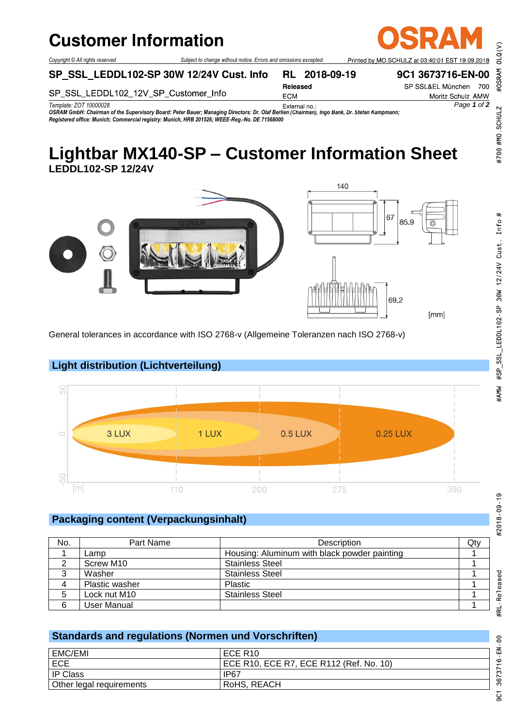#### **Customer Information**  $\sim$  document is only valid in population.

*Copyright © All rights reserved Subject to change without notice. Errors and omissions excepted.*

SP SSL LEDDL102-SP 30W 12/24V Cust. Info RL 2018-09-19

Printed by MO SCHULZ at 03:40:01 ES 9C1 3673716-EN-00

SP\_SSL\_LEDDL102\_12V\_SP\_Customer\_Info

Released **ECM** 

SP SSL&EL München 700 Moritz Schulz AMW

*Template: ZOT 10000028 Page 1 of 2*

*OSRAM GmbH: Chairman of the Supervisory Board: Peter Bauer; Managing Directors: Dr. Olaf Berlien (Chairman), Ingo Bank, Dr. Stefan Kampmann; Registered office: Munich; Commercial registry: Munich, HRB 201526; WEEE-Reg.-No. DE 71568000*

# **Lightbar MX140-SP – Customer Information Sheet LEDDL102-SP 12/24V**





General tolerances in accordance with ISO 2768-v (Allgemeine Toleranzen nach ISO 2768-v)



## **Packaging content (Verpackungsinhalt)**

**Light distribution (Lichtverteilung)**

| No. | Part Name      | Description                                  | Qty |
|-----|----------------|----------------------------------------------|-----|
|     | Lamp           | Housing: Aluminum with black powder painting |     |
|     | Screw M10      | <b>Stainless Steel</b>                       |     |
| 3   | Washer         | <b>Stainless Steel</b>                       |     |
| 4   | Plastic washer | Plastic                                      |     |
| 5   | Lock nut M10   | <b>Stainless Steel</b>                       |     |
| 6   | User Manual    |                                              |     |

### **Standards and regulations (Normen und Vorschriften)**

| EMC/EMI                  | ECE R <sub>10</sub>                     |
|--------------------------|-----------------------------------------|
| <b>ECE</b>               | ECE R10, ECE R7, ECE R112 (Ref. No. 10) |
| <sup>I</sup> IP Class    | IP67                                    |
| Other legal requirements | RoHS, REACH                             |

#RL-Released

 $OLQ(V)$ 

#OSRAM

#700 #MO SCHULZ